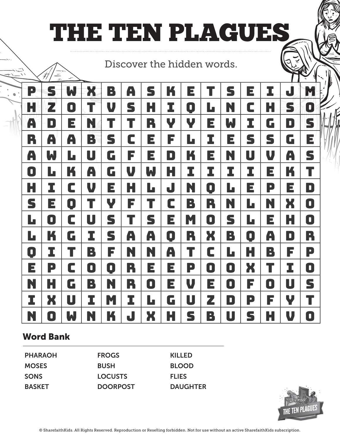## THE TEN PLAGUES

Discover the hidden words.

| P           | S | W              | X | B | A | S | K | E |           | S | E | I | J | M |
|-------------|---|----------------|---|---|---|---|---|---|-----------|---|---|---|---|---|
| H           | 2 | 0              |   | V | S | H | I | 0 | Ŀ         | N | C | Н | S | O |
| A           | D | E              | N |   | T | R | Y | Y | E         | W | I | G | D | S |
| R           | A | A              | B | S | C | E | F | L | I         | E | S | S | G | E |
| A           | W | L              | U | G | F | Е | D | K | E         | N | U | V | A | S |
| 0           | L | K              | A | G | V | W | Н | I | I         | I | I | E | K | T |
| Н           | I | C              | V | E | Н | L | J | N | D         | L | E | P | E | D |
| S           | E | 0              | T | Y | F | T | C | B | R         | N | L | N | X | 0 |
| L           | 0 | C              | U | S | T | S | E | M | 0         | S | L | Е | Н | 0 |
| L           | K | G              | I | S | A | A | 0 | R | X         | B | 0 | A | D | R |
| 0           | I | Τ              | B | F | N | N | A | T | C         | Ŀ | H | B | F | P |
| $\mathsf E$ | P | C              | D | D | R | Е | E | P | $\bullet$ | 0 | X | T | I | O |
| N           | Н | G              | B | N | R | 0 | E | V | Е         | 0 | F | 0 | U | S |
| I           | X | $\blacksquare$ | I | M | I | L | G | U | Z         | D | P | F | Y | T |
| N           | D | W              | N | K | J | X | Н | S | B         | U | S | H | V | 0 |

## Word Bank

PHARAOH **MOSES SONS** BASKET FROGS BUSH LOCUSTS **DOORPOST** KILLED BLOOD **FLIES** DAUGHTER